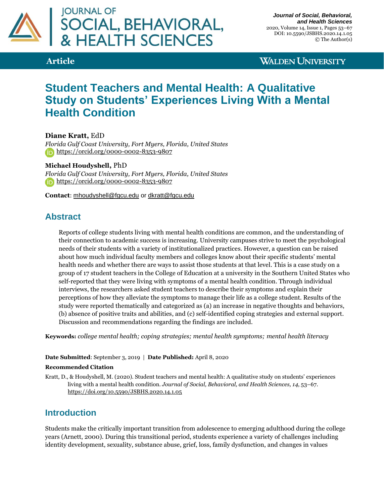

**WALDEN UNIVERSITY** 

# **Student Teachers and Mental Health: A Qualitative Study on Students' Experiences Living With a Mental Health Condition**

**Diane Kratt,** EdD

*Florida Gulf Coast University, Fort Myers, Florida, United States* <https://orcid.org/0000-0002-8353-9807>

#### **Michael Houdyshell,** PhD

*Florida Gulf Coast University, Fort Myers, Florida, United States* <https://orcid.org/0000-0002-8353-9807>

**Contact**: [mhoudyshell@fgcu.edu](mailto:mhoudyshell@fgcu.edu) or [dkratt@fgcu.edu](mailto:dkratt@fgcu.edu)

## **Abstract**

Reports of college students living with mental health conditions are common, and the understanding of their connection to academic success is increasing. University campuses strive to meet the psychological needs of their students with a variety of institutionalized practices. However, a question can be raised about how much individual faculty members and colleges know about their specific students' mental health needs and whether there are ways to assist those students at that level. This is a case study on a group of 17 student teachers in the College of Education at a university in the Southern United States who self-reported that they were living with symptoms of a mental health condition. Through individual interviews, the researchers asked student teachers to describe their symptoms and explain their perceptions of how they alleviate the symptoms to manage their life as a college student. Results of the study were reported thematically and categorized as (a) an increase in negative thoughts and behaviors, (b) absence of positive traits and abilities, and (c) self-identified coping strategies and external support. Discussion and recommendations regarding the findings are included.

**Keywords:** *college mental health; coping strategies; mental health symptoms; mental health literacy*

#### **Date Submitted**: September 3, 2019 | **Date Published:** April 8, 2020

#### **Recommended Citation**

Kratt, D., & Houdyshell, M. (2020). Student teachers and mental health: A qualitative study on students' experiences living with a mental health condition. *Journal of Social, Behavioral, and Health Sciences, 14*, 53–67. <https://doi.org/10.5590/JSBHS.2020.14.1.05>

## **Introduction**

Students make the critically important transition from adolescence to emerging adulthood during the college years (Arnett, 2000). During this transitional period, students experience a variety of challenges including identity development, sexuality, substance abuse, grief, loss, family dysfunction, and changes in values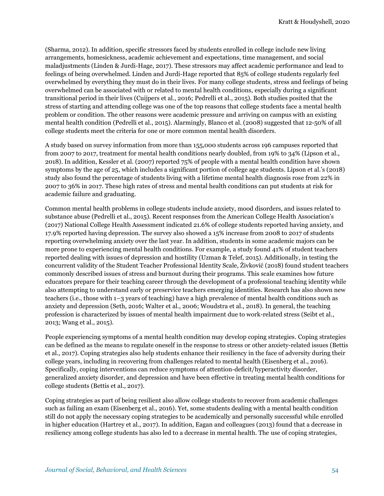(Sharma, 2012). In addition, specific stressors faced by students enrolled in college include new living arrangements, homesickness, academic achievement and expectations, time management, and social maladjustments (Linden & Jurdi-Hage, 2017). These stressors may affect academic performance and lead to feelings of being overwhelmed. Linden and Jurdi-Hage reported that 85% of college students regularly feel overwhelmed by everything they must do in their lives. For many college students, stress and feelings of being overwhelmed can be associated with or related to mental health conditions, especially during a significant transitional period in their lives (Cuijpers et al., 2016; Pedrelli et al., 2015). Both studies posited that the stress of starting and attending college was one of the top reasons that college students face a mental health problem or condition. The other reasons were academic pressure and arriving on campus with an existing mental health condition (Pedrelli et al., 2015). Alarmingly, Blanco et al. (2008) suggested that 12-50% of all college students meet the criteria for one or more common mental health disorders.

A study based on survey information from more than 155,000 students across 196 campuses reported that from 2007 to 2017, treatment for mental health conditions nearly doubled, from 19% to 34% (Lipson et al., 2018). In addition, Kessler et al. (2007) reported 75% of people with a mental health condition have shown symptoms by the age of 25, which includes a significant portion of college age students. Lipson et al.'s (2018) study also found the percentage of students living with a lifetime mental health diagnosis rose from 22% in 2007 to 36% in 2017. These high rates of stress and mental health conditions can put students at risk for academic failure and graduating.

Common mental health problems in college students include anxiety, mood disorders, and issues related to substance abuse (Pedrelli et al., 2015). Recent responses from the American College Health Association's (2017) National College Health Assessment indicated 21.6% of college students reported having anxiety, and 17.9% reported having depression. The survey also showed a 15% increase from 2008 to 2017 of students reporting overwhelming anxiety over the last year. In addition, students in some academic majors can be more prone to experiencing mental health conditions. For example, a study found 41% of student teachers reported dealing with issues of depression and hostility (Uzman & Telef, 2015). Additionally, in testing the concurrent validity of the Student Teacher Professional Identity Scale, Živković (2018) found student teachers commonly described issues of stress and burnout during their programs. This scale examines how future educators prepare for their teaching career through the development of a professional teaching identity while also attempting to understand early or preservice teachers emerging identities. Research has also shown new teachers (i.e., those with 1–3 years of teaching) have a high prevalence of mental health conditions such as anxiety and depression (Seth, 2016; Walter et al., 2006; Woudstra et al., 2018). In general, the teaching profession is characterized by issues of mental health impairment due to work-related stress (Seibt et al., 2013; Wang et al., 2015).

People experiencing symptoms of a mental health condition may develop coping strategies. Coping strategies can be defined as the means to regulate oneself in the response to stress or other anxiety-related issues (Bettis et al., 2017). Coping strategies also help students enhance their resiliency in the face of adversity during their college years, including in recovering from challenges related to mental health (Eisenberg et al., 2016). Specifically, coping interventions can reduce symptoms of attention-deficit/hyperactivity disorder, generalized anxiety disorder, and depression and have been effective in treating mental health conditions for college students (Bettis et al., 2017).

Coping strategies as part of being resilient also allow college students to recover from academic challenges such as failing an exam (Eisenberg et al., 2016). Yet, some students dealing with a mental health condition still do not apply the necessary coping strategies to be academically and personally successful while enrolled in higher education (Hartrey et al., 2017). In addition, Eagan and colleagues (2013) found that a decrease in resiliency among college students has also led to a decrease in mental health. The use of coping strategies,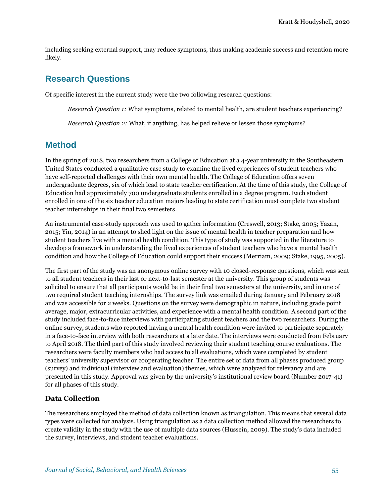including seeking external support, may reduce symptoms, thus making academic success and retention more likely.

## **Research Questions**

Of specific interest in the current study were the two following research questions:

*Research Question 1:* What symptoms, related to mental health, are student teachers experiencing?

*Research Question 2:* What, if anything, has helped relieve or lessen those symptoms?

## **Method**

In the spring of 2018, two researchers from a College of Education at a 4-year university in the Southeastern United States conducted a qualitative case study to examine the lived experiences of student teachers who have self-reported challenges with their own mental health. The College of Education offers seven undergraduate degrees, six of which lead to state teacher certification. At the time of this study, the College of Education had approximately 700 undergraduate students enrolled in a degree program. Each student enrolled in one of the six teacher education majors leading to state certification must complete two student teacher internships in their final two semesters.

An instrumental case-study approach was used to gather information (Creswell, 2013; Stake, 2005; Yazan, 2015; Yin, 2014) in an attempt to shed light on the issue of mental health in teacher preparation and how student teachers live with a mental health condition. This type of study was supported in the literature to develop a framework in understanding the lived experiences of student teachers who have a mental health condition and how the College of Education could support their success (Merriam, 2009; Stake, 1995, 2005).

The first part of the study was an anonymous online survey with 10 closed-response questions, which was sent to all student teachers in their last or next-to-last semester at the university. This group of students was solicited to ensure that all participants would be in their final two semesters at the university, and in one of two required student teaching internships. The survey link was emailed during January and February 2018 and was accessible for 2 weeks. Questions on the survey were demographic in nature, including grade point average, major, extracurricular activities, and experience with a mental health condition. A second part of the study included face-to-face interviews with participating student teachers and the two researchers. During the online survey, students who reported having a mental health condition were invited to participate separately in a face-to-face interview with both researchers at a later date. The interviews were conducted from February to April 2018. The third part of this study involved reviewing their student teaching course evaluations. The researchers were faculty members who had access to all evaluations, which were completed by student teachers' university supervisor or cooperating teacher. The entire set of data from all phases produced group (survey) and individual (interview and evaluation) themes, which were analyzed for relevancy and are presented in this study. Approval was given by the university's institutional review board (Number 2017-41) for all phases of this study.

## **Data Collection**

The researchers employed the method of data collection known as triangulation. This means that several data types were collected for analysis. Using triangulation as a data collection method allowed the researchers to create validity in the study with the use of multiple data sources (Hussein, 2009). The study's data included the survey, interviews, and student teacher evaluations.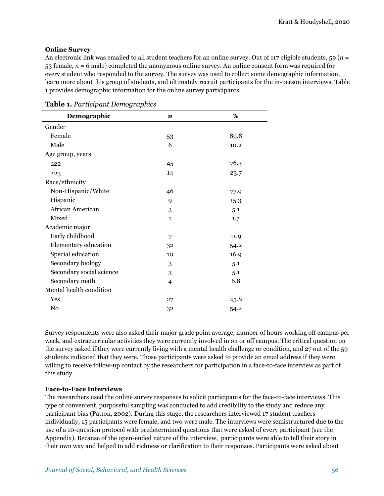### **Online Survey**

An electronic link was emailed to all student teachers for an online survey. Out of 117 eligible students, 59 (*n* = 53 female*, n* = 6 male) completed the anonymous online survey. An online consent form was required for every student who responded to the survey. The survey was used to collect some demographic information, learn more about this group of students, and ultimately recruit participants for the in-person interviews. Table 1 provides demographic information for the online survey participants.

| Demographic              | n              | %    |
|--------------------------|----------------|------|
| Gender                   |                |      |
| Female                   | 53             | 89.8 |
| Male                     | 6              | 10.2 |
| Age group, years         |                |      |
| $\leq$ 22                | 45             | 76.3 |
| $\geq$ 23                | 14             | 23.7 |
| Race/ethnicity           |                |      |
| Non-Hispanic/White       | 46             | 77.9 |
| Hispanic                 | 9              | 15.3 |
| African American         | 3              | 5.1  |
| Mixed                    | $\mathbf{1}$   | 1.7  |
| Academic major           |                |      |
| Early childhood          | 7              | 11.9 |
| Elementary education     | 32             | 54.2 |
| Special education        | 10             | 16.9 |
| Secondary biology        | 3              | 5.1  |
| Secondary social science | 3              | 5.1  |
| Secondary math           | $\overline{4}$ | 6.8  |
| Mental health condition  |                |      |
| Yes                      | 27             | 45.8 |
| No                       | 32             | 54.2 |

**Table 1.** *Participant Demographics*

Survey respondents were also asked their major grade point average, number of hours working off campus per week, and extracurricular activities they were currently involved in on or off campus. The critical question on the survey asked if they were currently living with a mental health challenge or condition, and 27 out of the 59 students indicated that they were. Those participants were asked to provide an email address if they were willing to receive follow-up contact by the researchers for participation in a face-to-face interview as part of this study.

## **Face-to-Face Interviews**

The researchers used the online survey responses to solicit participants for the face-to-face interviews. This type of convenient, purposeful sampling was conducted to add credibility to the study and reduce any participant bias (Patton, 2002). During this stage, the researchers interviewed 17 student teachers individually; 15 participants were female, and two were male. The interviews were semistructured due to the use of a 10-question protocol with predetermined questions that were asked of every participant (see the Appendix). Because of the open-ended nature of the interview, participants were able to tell their story in their own way and helped to add richness or clarification to their responses. Participants were asked about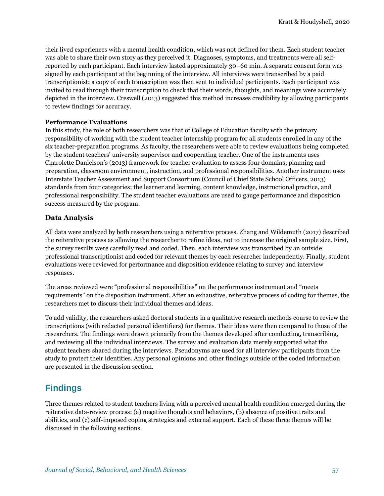their lived experiences with a mental health condition, which was not defined for them. Each student teacher was able to share their own story as they perceived it. Diagnoses, symptoms, and treatments were all selfreported by each participant. Each interview lasted approximately 30–60 min. A separate consent form was signed by each participant at the beginning of the interview. All interviews were transcribed by a paid transcriptionist; a copy of each transcription was then sent to individual participants. Each participant was invited to read through their transcription to check that their words, thoughts, and meanings were accurately depicted in the interview. Creswell (2013) suggested this method increases credibility by allowing participants to review findings for accuracy.

### **Performance Evaluations**

In this study, the role of both researchers was that of College of Education faculty with the primary responsibility of working with the student teacher internship program for all students enrolled in any of the six teacher-preparation programs. As faculty, the researchers were able to review evaluations being completed by the student teachers' university supervisor and cooperating teacher. One of the instruments uses Charolette Danielson's (2013) framework for teacher evaluation to assess four domains; planning and preparation, classroom environment, instruction, and professional responsibilities. Another instrument uses Interstate Teacher Assessment and Support Consortium (Council of Chief State School Officers, 2013) standards from four categories; the learner and learning, content knowledge, instructional practice, and professional responsibility. The student teacher evaluations are used to gauge performance and disposition success measured by the program.

## **Data Analysis**

All data were analyzed by both researchers using a reiterative process. Zhang and Wildemuth (2017) described the reiterative process as allowing the researcher to refine ideas, not to increase the original sample size. First, the survey results were carefully read and coded. Then, each interview was transcribed by an outside professional transcriptionist and coded for relevant themes by each researcher independently. Finally, student evaluations were reviewed for performance and disposition evidence relating to survey and interview responses.

The areas reviewed were "professional responsibilities" on the performance instrument and "meets requirements" on the disposition instrument. After an exhaustive, reiterative process of coding for themes, the researchers met to discuss their individual themes and ideas.

To add validity, the researchers asked doctoral students in a qualitative research methods course to review the transcriptions (with redacted personal identifiers) for themes. Their ideas were then compared to those of the researchers. The findings were drawn primarily from the themes developed after conducting, transcribing, and reviewing all the individual interviews. The survey and evaluation data merely supported what the student teachers shared during the interviews. Pseudonyms are used for all interview participants from the study to protect their identities. Any personal opinions and other findings outside of the coded information are presented in the discussion section.

## **Findings**

Three themes related to student teachers living with a perceived mental health condition emerged during the reiterative data-review process: (a) negative thoughts and behaviors, (b) absence of positive traits and abilities, and (c) self-imposed coping strategies and external support. Each of these three themes will be discussed in the following sections.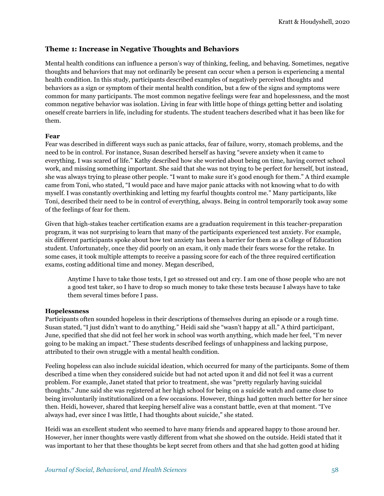## **Theme 1: Increase in Negative Thoughts and Behaviors**

Mental health conditions can influence a person's way of thinking, feeling, and behaving. Sometimes, negative thoughts and behaviors that may not ordinarily be present can occur when a person is experiencing a mental health condition. In this study, participants described examples of negatively perceived thoughts and behaviors as a sign or symptom of their mental health condition, but a few of the signs and symptoms were common for many participants. The most common negative feelings were fear and hopelessness, and the most common negative behavior was isolation. Living in fear with little hope of things getting better and isolating oneself create barriers in life, including for students. The student teachers described what it has been like for them.

#### **Fear**

Fear was described in different ways such as panic attacks, fear of failure, worry, stomach problems, and the need to be in control. For instance, Susan described herself as having "severe anxiety when it came to everything. I was scared of life." Kathy described how she worried about being on time, having correct school work, and missing something important. She said that she was not trying to be perfect for herself, but instead, she was always trying to please other people. "I want to make sure it's good enough for them." A third example came from Toni, who stated, "I would pace and have major panic attacks with not knowing what to do with myself. I was constantly overthinking and letting my fearful thoughts control me." Many participants, like Toni, described their need to be in control of everything, always. Being in control temporarily took away some of the feelings of fear for them.

Given that high-stakes teacher certification exams are a graduation requirement in this teacher-preparation program, it was not surprising to learn that many of the participants experienced test anxiety. For example, six different participants spoke about how test anxiety has been a barrier for them as a College of Education student. Unfortunately, once they did poorly on an exam, it only made their fears worse for the retake. In some cases, it took multiple attempts to receive a passing score for each of the three required certification exams, costing additional time and money. Megan described,

Anytime I have to take those tests, I get so stressed out and cry. I am one of those people who are not a good test taker, so I have to drop so much money to take these tests because I always have to take them several times before I pass.

#### **Hopelessness**

Participants often sounded hopeless in their descriptions of themselves during an episode or a rough time. Susan stated, "I just didn't want to do anything." Heidi said she "wasn't happy at all." A third participant, June, specified that she did not feel her work in school was worth anything, which made her feel, "I'm never going to be making an impact." These students described feelings of unhappiness and lacking purpose, attributed to their own struggle with a mental health condition.

Feeling hopeless can also include suicidal ideation, which occurred for many of the participants. Some of them described a time when they considered suicide but had not acted upon it and did not feel it was a current problem. For example, Janet stated that prior to treatment, she was "pretty regularly having suicidal thoughts." June said she was registered at her high school for being on a suicide watch and came close to being involuntarily institutionalized on a few occasions. However, things had gotten much better for her since then. Heidi, however, shared that keeping herself alive was a constant battle, even at that moment. "I've always had, ever since I was little, I had thoughts about suicide," she stated.

Heidi was an excellent student who seemed to have many friends and appeared happy to those around her. However, her inner thoughts were vastly different from what she showed on the outside. Heidi stated that it was important to her that these thoughts be kept secret from others and that she had gotten good at hiding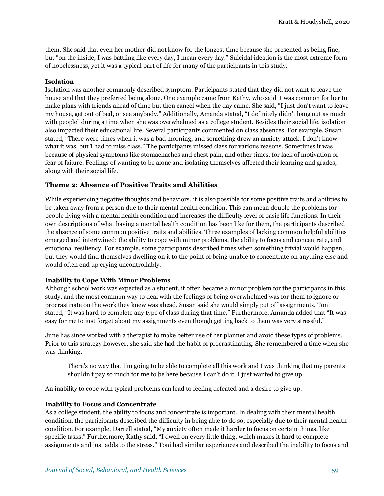them. She said that even her mother did not know for the longest time because she presented as being fine, but "on the inside, I was battling like every day, I mean every day." Suicidal ideation is the most extreme form of hopelessness, yet it was a typical part of life for many of the participants in this study.

#### **Isolation**

Isolation was another commonly described symptom. Participants stated that they did not want to leave the house and that they preferred being alone. One example came from Kathy, who said it was common for her to make plans with friends ahead of time but then cancel when the day came. She said, "I just don't want to leave my house, get out of bed, or see anybody." Additionally, Amanda stated, "I definitely didn't hang out as much with people" during a time when she was overwhelmed as a college student. Besides their social life, isolation also impacted their educational life. Several participants commented on class absences. For example, Susan stated, "There were times when it was a bad morning, and something drew an anxiety attack. I don't know what it was, but I had to miss class." The participants missed class for various reasons. Sometimes it was because of physical symptoms like stomachaches and chest pain, and other times, for lack of motivation or fear of failure. Feelings of wanting to be alone and isolating themselves affected their learning and grades, along with their social life.

## **Theme 2: Absence of Positive Traits and Abilities**

While experiencing negative thoughts and behaviors, it is also possible for some positive traits and abilities to be taken away from a person due to their mental health condition. This can mean double the problems for people living with a mental health condition and increases the difficulty level of basic life functions. In their own descriptions of what having a mental health condition has been like for them, the participants described the absence of some common positive traits and abilities. Three examples of lacking common helpful abilities emerged and intertwined: the ability to cope with minor problems, the ability to focus and concentrate, and emotional resiliency. For example, some participants described times when something trivial would happen, but they would find themselves dwelling on it to the point of being unable to concentrate on anything else and would often end up crying uncontrollably.

## **Inability to Cope With Minor Problems**

Although school work was expected as a student, it often became a minor problem for the participants in this study, and the most common way to deal with the feelings of being overwhelmed was for them to ignore or procrastinate on the work they knew was ahead. Susan said she would simply put off assignments. Toni stated, "It was hard to complete any type of class during that time." Furthermore, Amanda added that "It was easy for me to just forget about my assignments even though getting back to them was very stressful."

June has since worked with a therapist to make better use of her planner and avoid these types of problems. Prior to this strategy however, she said she had the habit of procrastinating. She remembered a time when she was thinking,

There's no way that I'm going to be able to complete all this work and I was thinking that my parents shouldn't pay so much for me to be here because I can't do it. I just wanted to give up.

An inability to cope with typical problems can lead to feeling defeated and a desire to give up.

#### **Inability to Focus and Concentrate**

As a college student, the ability to focus and concentrate is important. In dealing with their mental health condition, the participants described the difficulty in being able to do so, especially due to their mental health condition. For example, Darrell stated, "My anxiety often made it harder to focus on certain things, like specific tasks." Furthermore, Kathy said, "I dwell on every little thing, which makes it hard to complete assignments and just adds to the stress." Toni had similar experiences and described the inability to focus and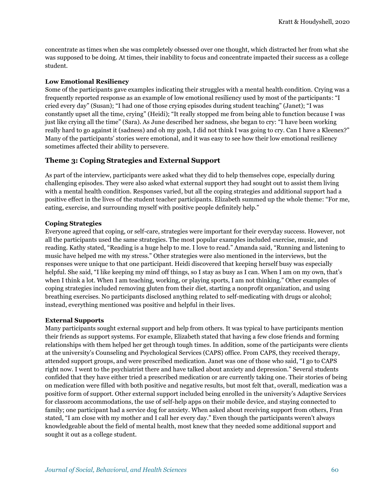concentrate as times when she was completely obsessed over one thought, which distracted her from what she was supposed to be doing. At times, their inability to focus and concentrate impacted their success as a college student.

#### **Low Emotional Resiliency**

Some of the participants gave examples indicating their struggles with a mental health condition. Crying was a frequently reported response as an example of low emotional resiliency used by most of the participants: "I cried every day" (Susan); "I had one of those crying episodes during student teaching" (Janet); "I was constantly upset all the time, crying" (Heidi); "It really stopped me from being able to function because I was just like crying all the time" (Sara). As June described her sadness, she began to cry: "I have been working really hard to go against it (sadness) and oh my gosh, I did not think I was going to cry. Can I have a Kleenex?" Many of the participants' stories were emotional, and it was easy to see how their low emotional resiliency sometimes affected their ability to persevere.

## **Theme 3: Coping Strategies and External Support**

As part of the interview, participants were asked what they did to help themselves cope, especially during challenging episodes. They were also asked what external support they had sought out to assist them living with a mental health condition. Responses varied, but all the coping strategies and additional support had a positive effect in the lives of the student teacher participants. Elizabeth summed up the whole theme: "For me, eating, exercise, and surrounding myself with positive people definitely help."

#### **Coping Strategies**

Everyone agreed that coping, or self-care, strategies were important for their everyday success. However, not all the participants used the same strategies. The most popular examples included exercise, music, and reading. Kathy stated, "Reading is a huge help to me. I love to read." Amanda said, "Running and listening to music have helped me with my stress." Other strategies were also mentioned in the interviews, but the responses were unique to that one participant. Heidi discovered that keeping herself busy was especially helpful. She said, "I like keeping my mind off things, so I stay as busy as I can. When I am on my own, that's when I think a lot. When I am teaching, working, or playing sports, I am not thinking." Other examples of coping strategies included removing gluten from their diet, starting a nonprofit organization, and using breathing exercises. No participants disclosed anything related to self-medicating with drugs or alcohol; instead, everything mentioned was positive and helpful in their lives.

#### **External Supports**

Many participants sought external support and help from others. It was typical to have participants mention their friends as support systems. For example, Elizabeth stated that having a few close friends and forming relationships with them helped her get through tough times. In addition, some of the participants were clients at the university's Counseling and Psychological Services (CAPS) office. From CAPS, they received therapy, attended support groups, and were prescribed medication. Janet was one of those who said, "I go to CAPS right now. I went to the psychiatrist there and have talked about anxiety and depression." Several students confided that they have either tried a prescribed medication or are currently taking one. Their stories of being on medication were filled with both positive and negative results, but most felt that, overall, medication was a positive form of support. Other external support included being enrolled in the university's Adaptive Services for classroom accommodations, the use of self-help apps on their mobile device, and staying connected to family; one participant had a service dog for anxiety. When asked about receiving support from others, Fran stated, "I am close with my mother and I call her every day." Even though the participants weren't always knowledgeable about the field of mental health, most knew that they needed some additional support and sought it out as a college student.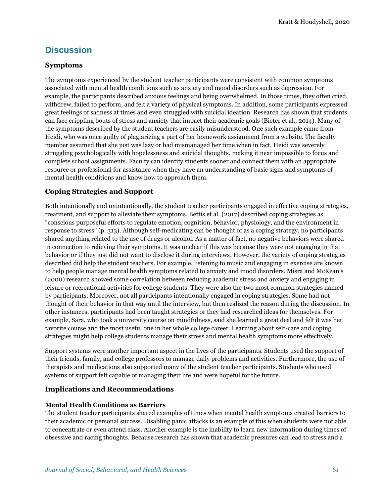## **Discussion**

## **Symptoms**

The symptoms experienced by the student teacher participants were consistent with common symptoms associated with mental health conditions such as anxiety and mood disorders such as depression. For example, the participants described anxious feelings and being overwhelmed. In those times, they often cried, withdrew, failed to perform, and felt a variety of physical symptoms. In addition, some participants expressed great feelings of sadness at times and even struggled with suicidal ideation. Research has shown that students can face crippling bouts of stress and anxiety that impact their academic goals (Bieter et al., 2014). Many of the symptoms described by the student teachers are easily misunderstood. One such example came from Heidi, who was once guilty of plagiarizing a part of her homework assignment from a website. The faculty member assumed that she just was lazy or had mismanaged her time when in fact, Heidi was severely struggling psychologically with hopelessness and suicidal thoughts, making it near impossible to focus and complete school assignments. Faculty can identify students sooner and connect them with an appropriate resource or professional for assistance when they have an understanding of basic signs and symptoms of mental health conditions and know how to approach them.

## **Coping Strategies and Support**

Both intentionally and unintentionally, the student teacher participants engaged in effective coping strategies, treatment, and support to alleviate their symptoms. Bettis et al. (2017) described coping strategies as "conscious purposeful efforts to regulate emotion, cognition, behavior, physiology, and the environment in response to stress" (p. 313). Although self-medicating can be thought of as a coping strategy, no participants shared anything related to the use of drugs or alcohol. As a matter of fact, no negative behaviors were shared in connection to relieving their symptoms. It was unclear if this was because they were not engaging in that behavior or if they just did not want to disclose it during interviews. However, the variety of coping strategies described did help the student teachers. For example, listening to music and engaging in exercise are known to help people manage mental health symptoms related to anxiety and mood disorders. Misra and McKean's (2000) research showed some correlation between reducing academic stress and anxiety and engaging in leisure or recreational activities for college students. They were also the two most common strategies named by participants. Moreover, not all participants intentionally engaged in coping strategies. Some had not thought of their behavior in that way until the interview, but then realized the reason during the discussion. In other instances, participants had been taught strategies or they had researched ideas for themselves. For example, Sara, who took a university course on mindfulness, said she learned a great deal and felt it was her favorite course and the most useful one in her whole college career. Learning about self-care and coping strategies might help college students manage their stress and mental health symptoms more effectively.

Support systems were another important aspect in the lives of the participants. Students used the support of their friends, family, and college professors to manage daily problems and activities. Furthermore, the use of therapists and medications also supported many of the student teacher participants. Students who used systems of support felt capable of managing their life and were hopeful for the future.

## **Implications and Recommendations**

## **Mental Health Conditions as Barriers**

The student teacher participants shared examples of times when mental health symptoms created barriers to their academic or personal success. Disabling panic attacks is an example of this when students were not able to concentrate or even attend class. Another example is the inability to learn new information during times of obsessive and racing thoughts. Because research has shown that academic pressures can lead to stress and a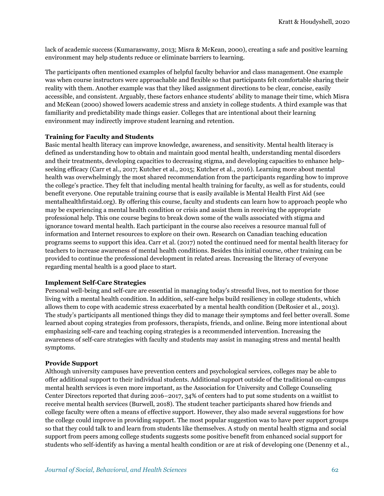lack of academic success (Kumaraswamy, 2013; Misra & McKean, 2000), creating a safe and positive learning environment may help students reduce or eliminate barriers to learning.

The participants often mentioned examples of helpful faculty behavior and class management. One example was when course instructors were approachable and flexible so that participants felt comfortable sharing their reality with them. Another example was that they liked assignment directions to be clear, concise, easily accessible, and consistent. Arguably, these factors enhance students' ability to manage their time, which Misra and McKean (2000) showed lowers academic stress and anxiety in college students. A third example was that familiarity and predictability made things easier. Colleges that are intentional about their learning environment may indirectly improve student learning and retention.

#### **Training for Faculty and Students**

Basic mental health literacy can improve knowledge, awareness, and sensitivity. Mental health literacy is defined as understanding how to obtain and maintain good mental health, understanding mental disorders and their treatments, developing capacities to decreasing stigma, and developing capacities to enhance helpseeking efficacy (Carr et al., 2017; Kutcher et al., 2015; Kutcher et al., 2016). Learning more about mental health was overwhelmingly the most shared recommendation from the participants regarding how to improve the college's practice. They felt that including mental health training for faculty, as well as for students, could benefit everyone. One reputable training course that is easily available is Mental Health First Aid (see mentalhealthfirstaid.org). By offering this course, faculty and students can learn how to approach people who may be experiencing a mental health condition or crisis and assist them in receiving the appropriate professional help. This one course begins to break down some of the walls associated with stigma and ignorance toward mental health. Each participant in the course also receives a resource manual full of information and Internet resources to explore on their own. Research on Canadian teaching education programs seems to support this idea. Carr et al. (2017) noted the continued need for mental health literacy for teachers to increase awareness of mental health conditions. Besides this initial course, other training can be provided to continue the professional development in related areas. Increasing the literacy of everyone regarding mental health is a good place to start.

#### **Implement Self-Care Strategies**

Personal well-being and self-care are essential in managing today's stressful lives, not to mention for those living with a mental health condition. In addition, self-care helps build resiliency in college students, which allows them to cope with academic stress exacerbated by a mental health condition (DeRosier et al., 2013). The study's participants all mentioned things they did to manage their symptoms and feel better overall. Some learned about coping strategies from professors, therapists, friends, and online. Being more intentional about emphasizing self-care and teaching coping strategies is a recommended intervention. Increasing the awareness of self-care strategies with faculty and students may assist in managing stress and mental health symptoms.

#### **Provide Support**

Although university campuses have prevention centers and psychological services, colleges may be able to offer additional support to their individual students. Additional support outside of the traditional on-campus mental health services is even more important, as the Association for University and College Counseling Center Directors reported that during 2016–2017, 34% of centers had to put some students on a waitlist to receive mental health services (Burwell, 2018). The student teacher participants shared how friends and college faculty were often a means of effective support. However, they also made several suggestions for how the college could improve in providing support. The most popular suggestion was to have peer support groups so that they could talk to and learn from students like themselves. A study on mental health stigma and social support from peers among college students suggests some positive benefit from enhanced social support for students who self-identify as having a mental health condition or are at risk of developing one (Denenny et al.,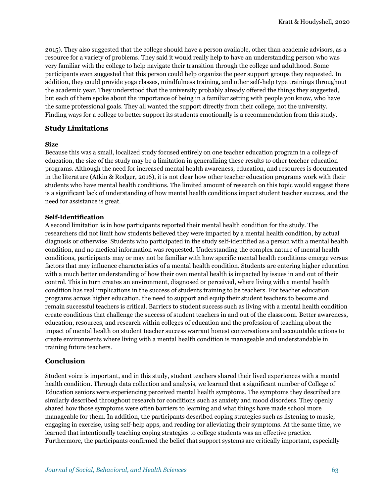2015). They also suggested that the college should have a person available, other than academic advisors, as a resource for a variety of problems. They said it would really help to have an understanding person who was very familiar with the college to help navigate their transition through the college and adulthood. Some participants even suggested that this person could help organize the peer support groups they requested. In addition, they could provide yoga classes, mindfulness training, and other self-help type trainings throughout the academic year. They understood that the university probably already offered the things they suggested, but each of them spoke about the importance of being in a familiar setting with people you know, who have the same professional goals. They all wanted the support directly from their college, not the university. Finding ways for a college to better support its students emotionally is a recommendation from this study.

## **Study Limitations**

#### **Size**

Because this was a small, localized study focused entirely on one teacher education program in a college of education, the size of the study may be a limitation in generalizing these results to other teacher education programs. Although the need for increased mental health awareness, education, and resources is documented in the literature (Atkin & Rodger, 2016), it is not clear how other teacher education programs work with their students who have mental health conditions. The limited amount of research on this topic would suggest there is a significant lack of understanding of how mental health conditions impact student teacher success, and the need for assistance is great.

#### **Self-Identification**

A second limitation is in how participants reported their mental health condition for the study. The researchers did not limit how students believed they were impacted by a mental health condition, by actual diagnosis or otherwise. Students who participated in the study self-identified as a person with a mental health condition, and no medical information was requested. Understanding the complex nature of mental health conditions, participants may or may not be familiar with how specific mental health conditions emerge versus factors that may influence characteristics of a mental health condition. Students are entering higher education with a much better understanding of how their own mental health is impacted by issues in and out of their control. This in turn creates an environment, diagnosed or perceived, where living with a mental health condition has real implications in the success of students training to be teachers. For teacher education programs across higher education, the need to support and equip their student teachers to become and remain successful teachers is critical. Barriers to student success such as living with a mental health condition create conditions that challenge the success of student teachers in and out of the classroom. Better awareness, education, resources, and research within colleges of education and the profession of teaching about the impact of mental health on student teacher success warrant honest conversations and accountable actions to create environments where living with a mental health condition is manageable and understandable in training future teachers.

## **Conclusion**

Student voice is important, and in this study, student teachers shared their lived experiences with a mental health condition. Through data collection and analysis, we learned that a significant number of College of Education seniors were experiencing perceived mental health symptoms. The symptoms they described are similarly described throughout research for conditions such as anxiety and mood disorders. They openly shared how those symptoms were often barriers to learning and what things have made school more manageable for them. In addition, the participants described coping strategies such as listening to music, engaging in exercise, using self-help apps, and reading for alleviating their symptoms. At the same time, we learned that intentionally teaching coping strategies to college students was an effective practice. Furthermore, the participants confirmed the belief that support systems are critically important, especially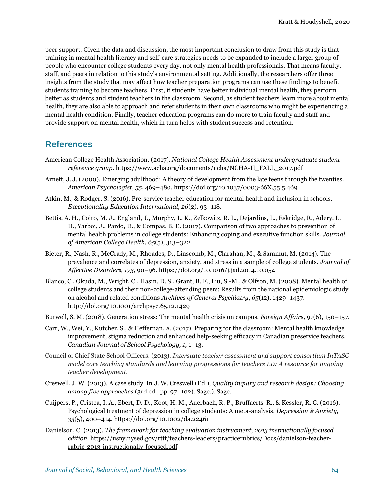peer support. Given the data and discussion, the most important conclusion to draw from this study is that training in mental health literacy and self-care strategies needs to be expanded to include a larger group of people who encounter college students every day, not only mental health professionals. That means faculty, staff, and peers in relation to this study's environmental setting. Additionally, the researchers offer three insights from the study that may affect how teacher preparation programs can use these findings to benefit students training to become teachers. First, if students have better individual mental health, they perform better as students and student teachers in the classroom. Second, as student teachers learn more about mental health, they are also able to approach and refer students in their own classrooms who might be experiencing a mental health condition. Finally, teacher education programs can do more to train faculty and staff and provide support on mental health, which in turn helps with student success and retention.

## **References**

- American College Health Association. (2017). *National College Health Assessment undergraduate student reference group.* https://www.acha.org/documents/ncha/NCHA-II\_FALL\_2017.pdf
- Arnett, J. J. (2000). Emerging adulthood: A theory of development from the late teens through the twenties. *American Psychologist*, *55*, 469–480[. https://doi.org/10.1037/0003](https://doi.org/10.1037/0003‐66X.55.5.469)‐66X.55.5.469
- Atkin, M., & Rodger, S. (2016). Pre-service teacher education for mental health and inclusion in schools. *Exceptionality Education International, 26*(2)*,* 93–118.
- Bettis, A. H., Coiro, M. J., England, J., Murphy, L. K., Zelkowitz, R. L., Dejardins, L., Eskridge, R., Adery, L. H., Yarboi, J., Pardo, D., & Compas, B. E. (2017). Comparison of two approaches to prevention of mental health problems in college students: Enhancing coping and executive function skills. *Journal of American College Health, 65*(5), 313–322.
- Bieter, R., Nash, R., McCrady, M., Rhoades, D., Linscomb, M., Clarahan, M., & Sammut, M. (2014). The prevalence and correlates of depression, anxiety, and stress in a sample of college students. *Journal of Affective Disorders, 173*, 90–96.<https://doi.org/10.1016/j.jad.2014.10.054>
- Blanco, C., Okuda, M., Wright, C., Hasin, D. S., Grant, B. F., Liu, S.-M., & Olfson, M. (2008). Mental health of college students and their non-college-attending peers: Results from the national epidemiologic study on alcohol and related conditions *Archives of General Psychiatry*, *65*(12), 1429–1437. http://doi.org/10.1001/archpsyc.65.12.1429
- Burwell, S. M. (2018). Generation stress: The mental health crisis on campus. *Foreign Affairs, 97*(6), 150–157.
- Carr, W., Wei, Y., Kutcher, S., & Heffernan, A. (2017). Preparing for the classroom: Mental health knowledge improvement, stigma reduction and enhanced help-seeking efficacy in Canadian preservice teachers. *Canadian Journal of School Psychology, 1,* 1–13.
- Council of Chief State School Officers. (2013). *Interstate teacher assessment and support consortium InTASC model core teaching standards and learning progressions for teachers 1.0: A resource for ongoing teacher development*.
- Creswell, J. W. (2013). A case study. In J. W. Creswell (Ed.), *Quality inquiry and research design: Choosing among five approaches* (3rd ed., pp. 97–102). Sage.). Sage.
- Cuijpers, P., Cristea, I. A., Ebert, D. D., Koot, H. M., Auerbach, R. P., Bruffaerts, R., & Kessler, R. C. (2016). Psychological treatment of depression in college students: A meta-analysis. *Depression & Anxiety, 33*(5), 400–414.<https://doi.org/10.1002/da.22461>
- Danielson, C. (2013). *The framework for teaching evaluation instrucment, 2013 instructionally focused edition*. [https://usny.nysed.gov/rttt/teachers-leaders/practicerubrics/Docs/danielson-teacher](https://usny.nysed.gov/rttt/teachers-leaders/practicerubrics/Docs/danielson-teacher-rubric-2013-instructionally-focused.pdf)[rubric-2013-instructionally-focused.pdf](https://usny.nysed.gov/rttt/teachers-leaders/practicerubrics/Docs/danielson-teacher-rubric-2013-instructionally-focused.pdf)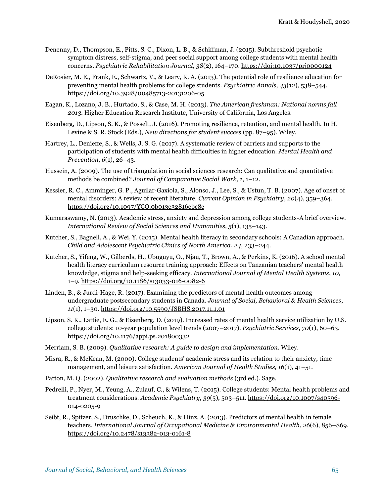- Denenny, D., Thompson, E., Pitts, S. C., Dixon, L. B., & Schiffman, J. (2015). Subthreshold psychotic symptom distress, self-stigma, and peer social support among college students with mental health concerns. *Psychiatric Rehabilitation Journal, 38*(2), 164–170.<https://doi:10.1037/prj0000124>
- DeRosier, M. E., Frank, E., Schwartz, V., & Leary, K. A. (2013). The potential role of resilience education for preventing mental health problems for college students. *Psychiatric Annals, 43*(12), 538–544. <https://doi.org/10.3928/00485713-20131206-05>
- Eagan, K., Lozano, J. B., Hurtado, S., & Case, M. H. (2013). *The American freshman: National norms fall 2013.* Higher Education Research Institute, University of California, Los Angeles.
- Eisenberg, D., Lipson, S. K., & Posselt, J. (2016). Promoting resilience, retention, and mental health. In H. Levine & S. R. Stock (Eds.), *New directions for student success* (pp. 87–95). Wiley.
- Hartrey, L., Denieffe, S., & Wells, J. S. G. (2017). A systematic review of barriers and supports to the participation of students with mental health difficulties in higher education. *Mental Health and Prevention*, *6*(1), 26–43.
- Hussein, A. (2009). The use of triangulation in social sciences research: Can qualitative and quantitative methods be combined? *Journal of Comparative Social Work, 1*, 1–12.
- Kessler, R. C., Amminger, G. P., Aguilar‐Gaxiola, S., Alonso, J., Lee, S., & Ustun, T. B. (2007). Age of onset of mental disorders: A review of recent literature. *Current Opinion in Psychiatry*, *20*(4), 359–364. https://doi.org/10.1097/YCO.0b013e32816ebc8c
- Kumaraswamy, N. (2013). Academic stress, anxiety and depression among college students-A brief overview. *International Review of Social Sciences and Humanities, 5*(1), 135–143.
- Kutcher, S., Bagnell, A., & Wei, Y. (2015). Mental health literacy in secondary schools: A Canadian approach. *Child and Adolescent Psychiatric Clinics of North America*, *24*, 233–244.
- Kutcher, S., Yifeng, W., Gilberds, H., Ubuguyu, O., Njau, T., Brown, A., & Perkins, K. (2016). A school mental health literacy curriculum resource training approach: Effects on Tanzanian teachers' mental health knowledge, stigma and help-seeking efficacy. *International Journal of Mental Health Systems*, *10,*  1–9[. https://doi.org/10.1186/s13033-016-0082-6](https://doi.org/10.1186/s13033-016-0082-6)
- Linden, B., & Jurdi-Hage, R. (2017). Examining the predictors of mental health outcomes among undergraduate postsecondary students in Canada. *Journal of Social, Behavioral & Health Sciences*, *11*(1), 1–30.<https://doi.org/10.5590/JSBHS.2017.11.1.01>
- Lipson, S. K., Lattie, E. G., & Eisenberg, D. (2019). Increased rates of mental health service utilization by U.S. college students: 10-year population level trends (2007–2017). *Psychiatric Services, 70*(1), 60–63. <https://doi.org/10.1176/appi.ps.201800332>
- Merriam, S. B. (2009). *Qualitative research: A guide to design and implementation.* Wiley.
- Misra, R., & McKean, M. (2000). College students' academic stress and its relation to their anxiety, time management, and leisure satisfaction. *American Journal of Health Studies, 16*(1), 41–51.
- Patton, M. Q. (2002). *Qualitative research and evaluation methods* (3rd ed.). Sage.
- Pedrelli, P., Nyer, M., Yeung, A., Zulauf, C., & Wilens, T. (2015). College students: Mental health problems and treatment considerations. *Academic Psychiatry*, *39*(5), 503–511. https://doi.org/10.1007/s40596- 014-0205-9
- Seibt, R., Spitzer, S., Druschke, D., Scheuch, K., & Hinz, A. (2013). Predictors of mental health in female teachers. *International Journal of Occupational Medicine & Environmental Health*, *26*(6), 856–869. <https://doi.org/10.2478/s13382-013-0161-8>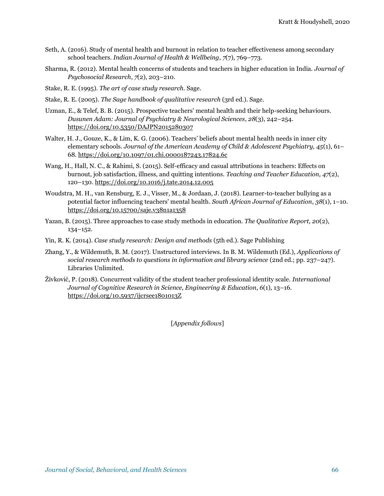- Seth, A. (2016). Study of mental health and burnout in relation to teacher effectiveness among secondary school teachers. *Indian Journal of Health & Wellbeing*, *7*(7), 769–773.
- Sharma, R. (2012). Mental health concerns of students and teachers in higher education in India. *Journal of Psychosocial Research*, *7*(2), 203–210.
- Stake, R. E. (1995). *The art of case study research.* Sage.
- Stake, R. E. (2005). *The Sage handbook of qualitative research* (3rd ed.). Sage.
- Uzman, E., & Telef, B. B. (2015). Prospective teachers' mental health and their help-seeking behaviours. *Dusunen Adam: Journal of Psychiatry & Neurological Sciences*, *28*(3), 242–254. <https://doi.org/10.5350/DAJPN2015280307>
- Walter, H. J., Gouze, K., & Lim, K. G. (2006). Teachers' beliefs about mental health needs in inner city elementary schools. *Journal of the American Academy of Child & Adolescent Psychiatry, 45*(1), 61– 68[. https://doi.org/10.1097/01.chi.0000187243.17824.6c](https://doi.org/10.1097/01.chi.0000187243.17824.6c)
- Wang, H., Hall, N. C., & Rahimi, S. (2015). Self-efficacy and casual attributions in teachers: Effects on burnout, job satisfaction, illness, and quitting intentions. *Teaching and Teacher Education, 47*(2), 120–130[. https://doi.org/10.1016/j.tate.2014.12.005](https://doi.org/10.1016/j.tate.2014.12.005)
- Woudstra, M. H., van Rensburg, E. J., Visser, M., & Jordaan, J. (2018). Learner-to-teacher bullying as a potential factor influencing teachers' mental health. *South African Journal of Education*, *38*(1), 1–10. <https://doi.org/10.15700/saje.v38n1a1358>
- Yazan, B. (2015). Three approaches to case study methods in education. *The Qualitative Report, 20*(2), 134–152.
- Yin, R. K. (2014). *Case study research: Design and methods* (5th ed.). Sage Publishing
- Zhang, Y., & Wildemuth, B. M. (2017). Unstructured interviews. In B. M. Wildemuth (Ed.), *Applications of social research methods to questions in information and library science* (2nd ed.; pp. 237–247). Libraries Unlimited.
- Živković, P. (2018). Concurrent validity of the student teacher professional identity scale. *International Journal of Cognitive Research in Science, Engineering & Education*, *6*(1), 13–16. <https://doi.org/10.5937/ijcrsee1801013Z>

[*Appendix follows*]